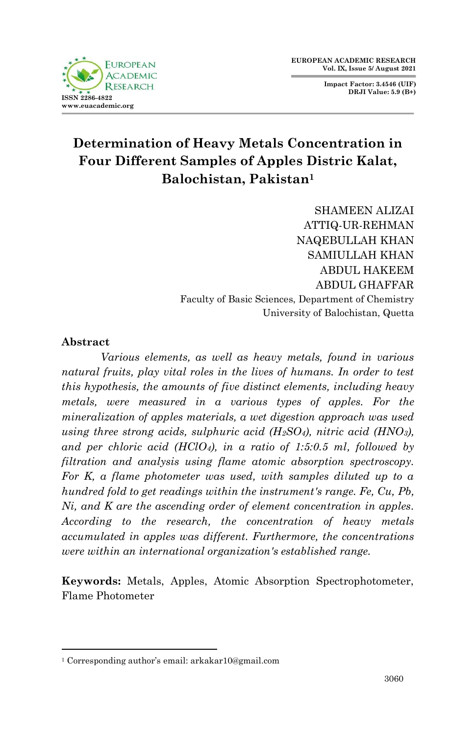**FUROPEAN** ACADEMIC  $D$  ESE A DC **ISSN 2286-4822 www.euacademic.org**

**Impact Factor: 3.4546 (UIF) DRJI Value: 5.9 (B+)**

# **[Determination of Heavy Metals Concentration in](https://thepab.org/index.php/journal/article/view/1010)  [Four Different Samples of Apples Distric Kalat,](https://thepab.org/index.php/journal/article/view/1010) [Balochistan, Pakistan](https://thepab.org/index.php/journal/article/view/1010)<sup>1</sup>**

SHAMEEN ALIZAI ATTIQ-UR-REHMAN NAQEBULLAH KHAN SAMIULLAH KHAN ABDUL HAKEEM ABDUL GHAFFAR Faculty of Basic Sciences, Department of Chemistry University of Balochistan, Quetta

# **Abstract**

1

*Various elements, as well as heavy metals, found in various natural fruits, play vital roles in the lives of humans. In order to test this hypothesis, the amounts of five distinct elements, including heavy metals, were measured in a various types of apples. For the mineralization of apples materials, a wet digestion approach was used using three strong acids, sulphuric acid (H2SO4), nitric acid (HNO3), and per chloric acid (HClO4), in a ratio of 1:5:0.5 ml, followed by filtration and analysis using flame atomic absorption spectroscopy. For K, a flame photometer was used, with samples diluted up to a hundred fold to get readings within the instrument's range. Fe, Cu, Pb, Ni, and K are the ascending order of element concentration in apples. According to the research, the concentration of heavy metals accumulated in apples was different. Furthermore, the concentrations were within an international organization's established range.*

**Keywords:** Metals, Apples, Atomic Absorption Spectrophotometer, Flame Photometer

<sup>1</sup> Corresponding author's email: arkakar10@gmail.com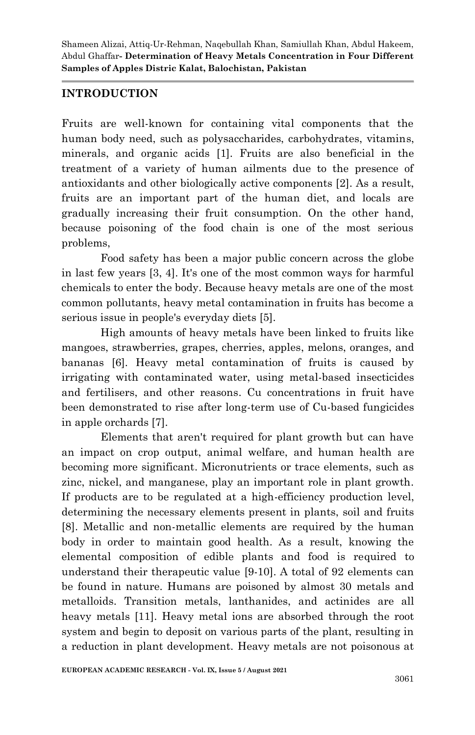# **INTRODUCTION**

Fruits are well-known for containing vital components that the human body need, such as polysaccharides, carbohydrates, vitamins, minerals, and organic acids [1]. Fruits are also beneficial in the treatment of a variety of human ailments due to the presence of antioxidants and other biologically active components [2]. As a result, fruits are an important part of the human diet, and locals are gradually increasing their fruit consumption. On the other hand, because poisoning of the food chain is one of the most serious problems,

Food safety has been a major public concern across the globe in last few years [3, 4]. It's one of the most common ways for harmful chemicals to enter the body. Because heavy metals are one of the most common pollutants, heavy metal contamination in fruits has become a serious issue in people's everyday diets [5].

High amounts of heavy metals have been linked to fruits like mangoes, strawberries, grapes, cherries, apples, melons, oranges, and bananas [6]. Heavy metal contamination of fruits is caused by irrigating with contaminated water, using metal-based insecticides and fertilisers, and other reasons. Cu concentrations in fruit have been demonstrated to rise after long-term use of Cu-based fungicides in apple orchards [7].

Elements that aren't required for plant growth but can have an impact on crop output, animal welfare, and human health are becoming more significant. Micronutrients or trace elements, such as zinc, nickel, and manganese, play an important role in plant growth. If products are to be regulated at a high-efficiency production level, determining the necessary elements present in plants, soil and fruits [8]. Metallic and non-metallic elements are required by the human body in order to maintain good health. As a result, knowing the elemental composition of edible plants and food is required to understand their therapeutic value [9-10]. A total of 92 elements can be found in nature. Humans are poisoned by almost 30 metals and metalloids. Transition metals, lanthanides, and actinides are all heavy metals [11]. Heavy metal ions are absorbed through the root system and begin to deposit on various parts of the plant, resulting in a reduction in plant development. Heavy metals are not poisonous at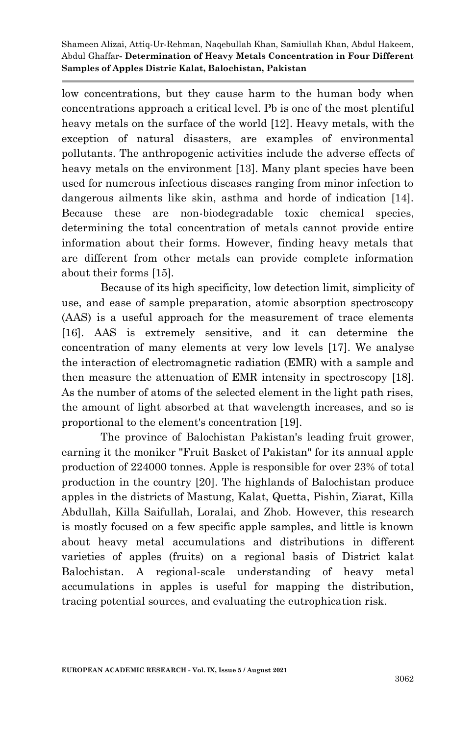low concentrations, but they cause harm to the human body when concentrations approach a critical level. Pb is one of the most plentiful heavy metals on the surface of the world [12]. Heavy metals, with the exception of natural disasters, are examples of environmental pollutants. The anthropogenic activities include the adverse effects of heavy metals on the environment [13]. Many plant species have been used for numerous infectious diseases ranging from minor infection to dangerous ailments like skin, asthma and horde of indication [14]. Because these are non-biodegradable toxic chemical species, determining the total concentration of metals cannot provide entire information about their forms. However, finding heavy metals that are different from other metals can provide complete information about their forms [15].

Because of its high specificity, low detection limit, simplicity of use, and ease of sample preparation, atomic absorption spectroscopy (AAS) is a useful approach for the measurement of trace elements [16]. AAS is extremely sensitive, and it can determine the concentration of many elements at very low levels [17]. We analyse the interaction of electromagnetic radiation (EMR) with a sample and then measure the attenuation of EMR intensity in spectroscopy [18]. As the number of atoms of the selected element in the light path rises, the amount of light absorbed at that wavelength increases, and so is proportional to the element's concentration [19].

The province of Balochistan Pakistan's leading fruit grower, earning it the moniker "Fruit Basket of Pakistan" for its annual apple production of 224000 tonnes. Apple is responsible for over 23% of total production in the country [20]. The highlands of Balochistan produce apples in the districts of Mastung, Kalat, Quetta, Pishin, Ziarat, Killa Abdullah, Killa Saifullah, Loralai, and Zhob. However, this research is mostly focused on a few specific apple samples, and little is known about heavy metal accumulations and distributions in different varieties of apples (fruits) on a regional basis of District kalat Balochistan. A regional-scale understanding of heavy metal accumulations in apples is useful for mapping the distribution, tracing potential sources, and evaluating the eutrophication risk.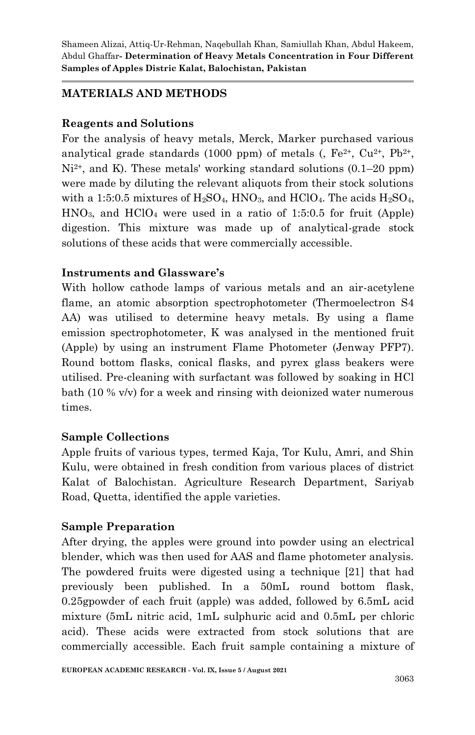# **MATERIALS AND METHODS**

## **Reagents and Solutions**

For the analysis of heavy metals, Merck, Marker purchased various analytical grade standards (1000 ppm) of metals (,  $Fe^{2+}$ ,  $Cu^{2+}$ ,  $Pb^{2+}$ ,  $Ni<sup>2+</sup>$ , and K). These metals' working standard solutions (0.1–20 ppm) were made by diluting the relevant aliquots from their stock solutions with a 1:5:0.5 mixtures of  $H_2SO_4$ , HNO<sub>3</sub>, and HClO<sub>4</sub>. The acids  $H_2SO_4$ ,  $HNO<sub>3</sub>$ , and  $HClO<sub>4</sub>$  were used in a ratio of 1:5:0.5 for fruit (Apple) digestion. This mixture was made up of analytical-grade stock solutions of these acids that were commercially accessible.

## **Instruments and Glassware's**

With hollow cathode lamps of various metals and an air-acetylene flame, an atomic absorption spectrophotometer (Thermoelectron S4 AA) was utilised to determine heavy metals. By using a flame emission spectrophotometer, K was analysed in the mentioned fruit (Apple) by using an instrument Flame Photometer (Jenway PFP7). Round bottom flasks, conical flasks, and pyrex glass beakers were utilised. Pre-cleaning with surfactant was followed by soaking in HCl bath (10 % v/v) for a week and rinsing with deionized water numerous times.

#### **Sample Collections**

Apple fruits of various types, termed Kaja, Tor Kulu, Amri, and Shin Kulu, were obtained in fresh condition from various places of district Kalat of Balochistan. Agriculture Research Department, Sariyab Road, Quetta, identified the apple varieties.

#### **Sample Preparation**

After drying, the apples were ground into powder using an electrical blender, which was then used for AAS and flame photometer analysis. The powdered fruits were digested using a technique [21] that had previously been published. In a 50mL round bottom flask, 0.25gpowder of each fruit (apple) was added, followed by 6.5mL acid mixture (5mL nitric acid, 1mL sulphuric acid and 0.5mL per chloric acid). These acids were extracted from stock solutions that are commercially accessible. Each fruit sample containing a mixture of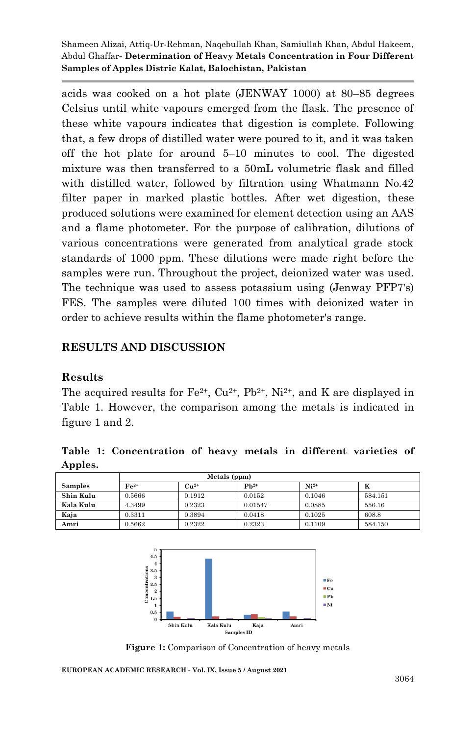acids was cooked on a hot plate (JENWAY 1000) at 80–85 degrees Celsius until white vapours emerged from the flask. The presence of these white vapours indicates that digestion is complete. Following that, a few drops of distilled water were poured to it, and it was taken off the hot plate for around 5–10 minutes to cool. The digested mixture was then transferred to a 50mL volumetric flask and filled with distilled water, followed by filtration using Whatmann No.42 filter paper in marked plastic bottles. After wet digestion, these produced solutions were examined for element detection using an AAS and a flame photometer. For the purpose of calibration, dilutions of various concentrations were generated from analytical grade stock standards of 1000 ppm. These dilutions were made right before the samples were run. Throughout the project, deionized water was used. The technique was used to assess potassium using (Jenway PFP7's) FES. The samples were diluted 100 times with deionized water in order to achieve results within the flame photometer's range.

## **RESULTS AND DISCUSSION**

#### **Results**

The acquired results for  $Fe^{2+}$ ,  $Cu^{2+}$ ,  $Pb^{2+}$ ,  $Ni^{2+}$ , and K are displayed in Table 1. However, the comparison among the metals is indicated in figure 1 and 2.

**Table 1: Concentration of heavy metals in different varieties of Apples.**

|                | Metals (ppm) |           |           |        |         |
|----------------|--------------|-----------|-----------|--------|---------|
| <b>Samples</b> | $Fe2+$       | $Cu^{2+}$ | $Pb^{2+}$ | $Ni2+$ | K       |
| Shin Kulu      | 0.5666       | 0.1912    | 0.0152    | 0.1046 | 584.151 |
| Kala Kulu      | 4.3499       | 0.2323    | 0.01547   | 0.0885 | 556.16  |
| Kaja           | 0.3311       | 0.3894    | 0.0418    | 0.1025 | 608.8   |
| Amri           | 0.5662       | 0.2322    | 0.2323    | 0.1109 | 584.150 |



**Figure 1:** Comparison of Concentration of heavy metals

**EUROPEAN ACADEMIC RESEARCH - Vol. IX, Issue 5 / August 2021**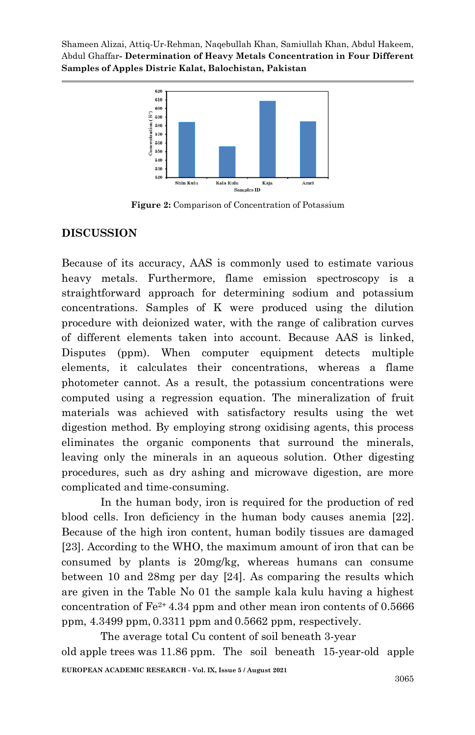

**Figure 2:** Comparison of Concentration of Potassium

# **DISCUSSION**

Because of its accuracy, AAS is commonly used to estimate various heavy metals. Furthermore, flame emission spectroscopy is a straightforward approach for determining sodium and potassium concentrations. Samples of K were produced using the dilution procedure with deionized water, with the range of calibration curves of different elements taken into account. Because AAS is linked, Disputes (ppm). When computer equipment detects multiple elements, it calculates their concentrations, whereas a flame photometer cannot. As a result, the potassium concentrations were computed using a regression equation. The mineralization of fruit materials was achieved with satisfactory results using the wet digestion method. By employing strong oxidising agents, this process eliminates the organic components that surround the minerals, leaving only the minerals in an aqueous solution. Other digesting procedures, such as dry ashing and microwave digestion, are more complicated and time-consuming.

In the human body, iron is required for the production of red blood cells. Iron deficiency in the human body causes anemia [22]. Because of the high iron content, human bodily tissues are damaged [23]. According to the WHO, the maximum amount of iron that can be consumed by plants is 20mg/kg, whereas humans can consume between 10 and 28mg per day [24]. As comparing the results which are given in the Table No 01 the sample kala kulu having a highest concentration of  $Fe^{2+}$  4.34 ppm and other mean iron contents of 0.5666 ppm, 4.3499 ppm,0.3311 ppm and 0.5662 ppm, respectively.

**EUROPEAN ACADEMIC RESEARCH - Vol. IX, Issue 5 / August 2021** The average total Cu content of soil beneath 3-year old apple trees was 11.86 ppm. The soil beneath 15-year-old apple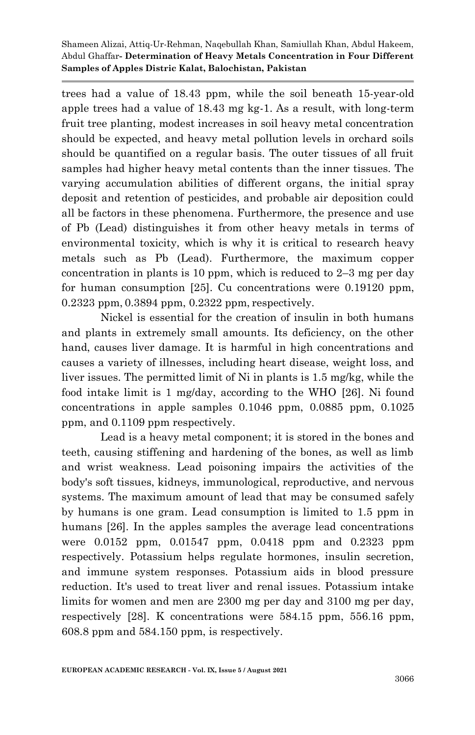trees had a value of 18.43 ppm, while the soil beneath 15-year-old apple trees had a value of 18.43 mg kg-1. As a result, with long-term fruit tree planting, modest increases in soil heavy metal concentration should be expected, and heavy metal pollution levels in orchard soils should be quantified on a regular basis. The outer tissues of all fruit samples had higher heavy metal contents than the inner tissues. The varying accumulation abilities of different organs, the initial spray deposit and retention of pesticides, and probable air deposition could all be factors in these phenomena. Furthermore, the presence and use of Pb (Lead) distinguishes it from other heavy metals in terms of environmental toxicity, which is why it is critical to research heavy metals such as Pb (Lead). Furthermore, the maximum copper concentration in plants is 10 ppm, which is reduced to 2–3 mg per day for human consumption [25]. Cu concentrations were 0.19120 ppm, 0.2323 ppm,0.3894 ppm, 0.2322 ppm, respectively.

Nickel is essential for the creation of insulin in both humans and plants in extremely small amounts. Its deficiency, on the other hand, causes liver damage. It is harmful in high concentrations and causes a variety of illnesses, including heart disease, weight loss, and liver issues. The permitted limit of Ni in plants is 1.5 mg/kg, while the food intake limit is 1 mg/day, according to the WHO [26]. Ni found concentrations in apple samples 0.1046 ppm, 0.0885 ppm, 0.1025 ppm, and 0.1109 ppm respectively.

Lead is a heavy metal component; it is stored in the bones and teeth, causing stiffening and hardening of the bones, as well as limb and wrist weakness. Lead poisoning impairs the activities of the body's soft tissues, kidneys, immunological, reproductive, and nervous systems. The maximum amount of lead that may be consumed safely by humans is one gram. Lead consumption is limited to 1.5 ppm in humans [26]. In the apples samples the average lead concentrations were 0.0152 ppm, 0.01547 ppm, 0.0418 ppm and 0.2323 ppm respectively. Potassium helps regulate hormones, insulin secretion, and immune system responses. Potassium aids in blood pressure reduction. It's used to treat liver and renal issues. Potassium intake limits for women and men are 2300 mg per day and 3100 mg per day, respectively [28]. K concentrations were 584.15 ppm, 556.16 ppm, 608.8 ppm and 584.150 ppm, is respectively.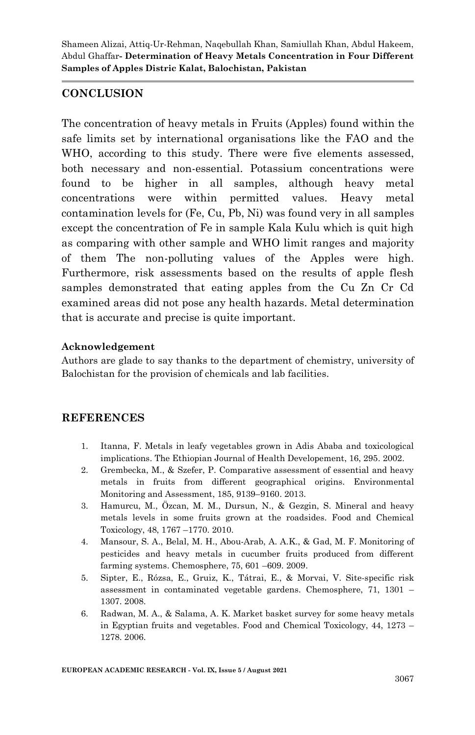# **CONCLUSION**

The concentration of heavy metals in Fruits (Apples) found within the safe limits set by international organisations like the FAO and the WHO, according to this study. There were five elements assessed, both necessary and non-essential. Potassium concentrations were found to be higher in all samples, although heavy metal concentrations were within permitted values. Heavy metal contamination levels for (Fe, Cu, Pb, Ni) was found very in all samples except the concentration of Fe in sample Kala Kulu which is quit high as comparing with other sample and WHO limit ranges and majority of them The non-polluting values of the Apples were high. Furthermore, risk assessments based on the results of apple flesh samples demonstrated that eating apples from the Cu Zn Cr Cd examined areas did not pose any health hazards. Metal determination that is accurate and precise is quite important.

#### **Acknowledgement**

Authors are glade to say thanks to the department of chemistry, university of Balochistan for the provision of chemicals and lab facilities.

# **REFERENCES**

- 1. Itanna, F. Metals in leafy vegetables grown in Adis Ababa and toxicological implications. The Ethiopian Journal of Health Developement, 16, 295. 2002.
- 2. Grembecka, M., & Szefer, P. Comparative assessment of essential and heavy metals in fruits from different geographical origins. Environmental Monitoring and Assessment, 185, 9139–9160. 2013.
- 3. Hamurcu, M., Özcan, M. M., Dursun, N., & Gezgin, S. Mineral and heavy metals levels in some fruits grown at the roadsides. Food and Chemical Toxicology, 48, 1767 –1770. 2010.
- 4. Mansour, S. A., Belal, M. H., Abou-Arab, A. A.K., & Gad, M. F. Monitoring of pesticides and heavy metals in cucumber fruits produced from different farming systems. Chemosphere, 75, 601 –609. 2009.
- 5. Sipter, E., Rózsa, E., Gruiz, K., Tátrai, E., & Morvai, V. Site-specific risk assessment in contaminated vegetable gardens. Chemosphere, 71, 1301 – 1307. 2008.
- 6. Radwan, M. A., & Salama, A. K. Market basket survey for some heavy metals in Egyptian fruits and vegetables. Food and Chemical Toxicology, 44, 1273 – 1278. 2006.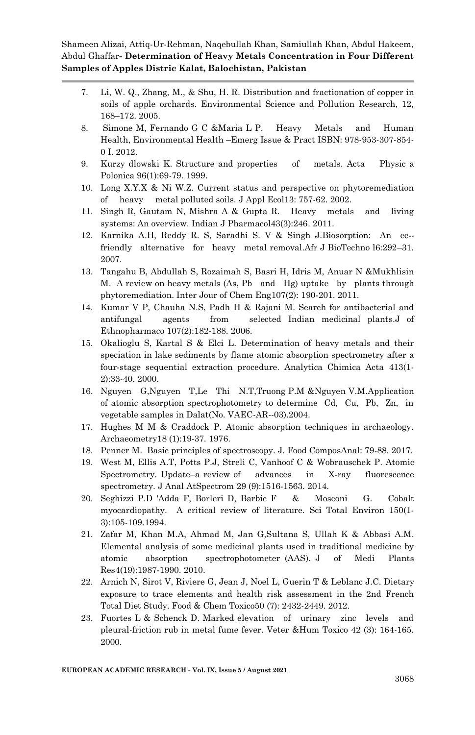- 7. Li, W. Q., Zhang, M., & Shu, H. R. Distribution and fractionation of copper in soils of apple orchards. Environmental Science and Pollution Research, 12, 168–172. 2005.
- 8. Simone M, Fernando G C &Maria L P. Heavy Metals and Human Health, Environmental Health –Emerg Issue & Pract ISBN: 978-953-307-854- 0 I. 2012.
- 9. Kurzy dlowski K. Structure and properties of metals. Acta Physic a Polonica 96(1):69-79. 1999.
- 10. Long X.Y.X & Ni W.Z. Current status and perspective on phytoremediation of heavy metal polluted soils. J Appl Ecol13: 757-62. 2002.
- 11. Singh R, Gautam N, Mishra A & Gupta R. Heavy metals and living systems: An overview. Indian J Pharmacol43(3):246. 2011.
- 12. Karnika A.H, Reddy R. S, Saradhi S. V & Singh J.Biosorption: An ec- friendly alternative for heavy metal removal.Afr J BioTechno l6:292–31. 2007.
- 13. Tangahu B, Abdullah S, Rozaimah S, Basri H, Idris M, Anuar N &Mukhlisin M. A review on heavy metals (As, Pb and Hg) uptake by plants through phytoremediation. Inter Jour of Chem Eng107(2): 190-201. 2011.
- 14. Kumar V P, Chauha N.S, Padh H & Rajani M. Search for antibacterial and antifungal agents from selected Indian medicinal plants.J of Ethnopharmaco 107(2):182-188. 2006.
- 15. Okalioglu S, Kartal S & Elci L. Determination of heavy metals and their speciation in lake sediments by flame atomic absorption spectrometry after a four-stage sequential extraction procedure. Analytica Chimica Acta 413(1- 2):33-40. 2000.
- 16. Nguyen G,Nguyen T,Le Thi N.T,Truong P.M &Nguyen V.M.Application of atomic absorption spectrophotometry to determine Cd, Cu, Pb, Zn, in vegetable samples in Dalat(No. VAEC-AR--03).2004.
- 17. Hughes M M & Craddock P. Atomic absorption techniques in archaeology. Archaeometry18 (1):19-37. 1976.
- 18. Penner M. Basic principles of spectroscopy. J. Food ComposAnal: 79-88. 2017.
- 19. West M, Ellis A.T, Potts P.J, Streli C, Vanhoof C & Wobrauschek P. Atomic Spectrometry. Update–a review of advances in X-ray fluorescence spectrometry. J Anal AtSpectrom 29 (9):1516-1563. 2014.
- 20. Seghizzi P.D 'Adda F, Borleri D, Barbic F & Mosconi G. Cobalt myocardiopathy. A critical review of literature. Sci Total Environ 150(1- 3):105-109.1994.
- 21. Zafar M, Khan M.A, Ahmad M, Jan G,Sultana S, Ullah K & Abbasi A.M. Elemental analysis of some medicinal plants used in traditional medicine by atomic absorption spectrophotometer (AAS). J of Medi Plants Res4(19):1987-1990. 2010.
- 22. Arnich N, Sirot V, Riviere G, Jean J, Noel L, Guerin T & Leblanc J.C. Dietary exposure to trace elements and health risk assessment in the 2nd French Total Diet Study. Food & Chem Toxico50 (7): 2432-2449. 2012.
- 23. Fuortes L & Schenck D. Marked elevation of urinary zinc levels and pleural-friction rub in metal fume fever. Veter &Hum Toxico 42 (3): 164-165. 2000.